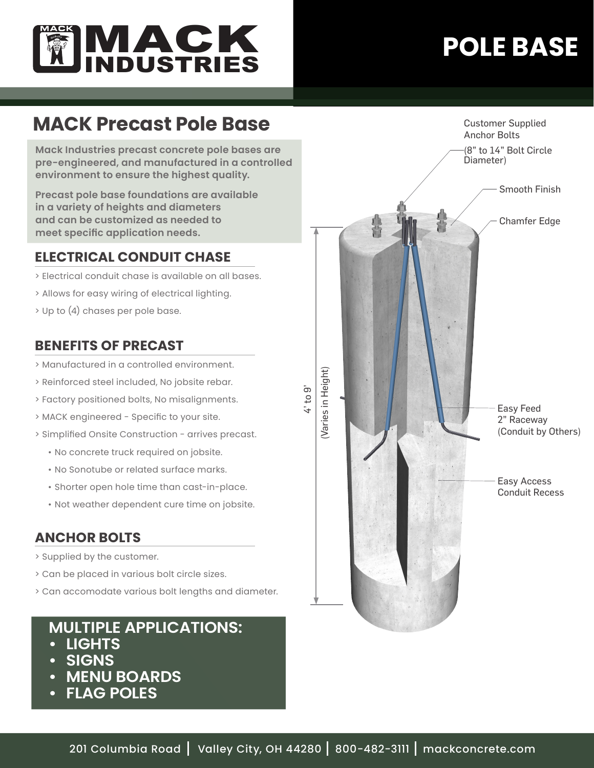

# **POLE BASE**

## **MACK Precast Pole Base**

**Mack Industries precast concrete pole bases are pre-engineered, and manufactured in a controlled environment to ensure the highest quality.** 

**Precast pole base foundations are available in a variety of heights and diameters and can be customized as needed to meet specific application needs.**

## **ELECTRICAL CONDUIT CHASE**

- > Electrical conduit chase is available on all bases.
- > Allows for easy wiring of electrical lighting.
- > Up to (4) chases per pole base.

## **BENEFITS OF PRECAST**

- > Manufactured in a controlled environment.
- > Reinforced steel included, No jobsite rebar.
- > Factory positioned bolts, No misalignments.
- > MACK engineered Specific to your site.
- > Simplified Onsite Construction arrives precast.
	- No concrete truck required on jobsite.
	- No Sonotube or related surface marks.
	- Shorter open hole time than cast-in-place.
	- Not weather dependent cure time on jobsite.

#### **ANCHOR BOLTS**

- > Supplied by the customer.
- > Can be placed in various bolt circle sizes.
- > Can accomodate various bolt lengths and diameter.

## **MULTIPLE APPLICATIONS:**

- **• LIGHTS**
- **• SIGNS**
- **• MENU BOARDS**
- **• FLAG POLES**